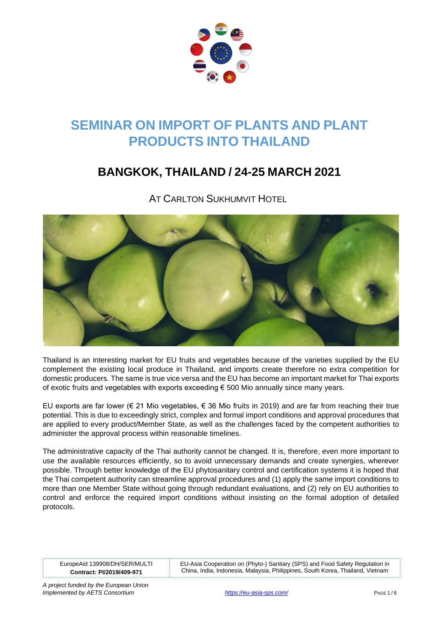

# **SEMINAR ON IMPORT OF PLANTS AND PLANT PRODUCTS INTO THAILAND**

# **BANGKOK, THAILAND / 24-25 MARCH 2021**

**AT CARLTON SUKHUMVIT HOTEL** 



Thailand is an interesting market for EU fruits and vegetables because of the varieties supplied by the EU complement the existing local produce in Thailand, and imports create therefore no extra competition for domestic producers. The same is true vice versa and the EU has become an important market for Thai exports of exotic fruits and vegetables with exports exceeding  $\epsilon$  500 Mio annually since many years.

EU exports are far lower (€ 21 Mio vegetables, € 36 Mio fruits in 2019) and are far from reaching their true potential. This is due to exceedingly strict, complex and formal import conditions and approval procedures that are applied to every product/Member State, as well as the challenges faced by the competent authorities to administer the approval process within reasonable timelines.

The administrative capacity of the Thai authority cannot be changed. It is, therefore, even more important to use the available resources efficiently, so to avoid unnecessary demands and create synergies, wherever possible. Through better knowledge of the EU phytosanitary control and certification systems it is hoped that the Thai competent authority can streamline approval procedures and (1) apply the same import conditions to more than one Member State without going through redundant evaluations, and (2) rely on EU authorities to control and enforce the required import conditions without insisting on the formal adoption of detailed protocols.

EuropeAid 139908/DH/SER/MULTI **Contract: PI/2019/409-971**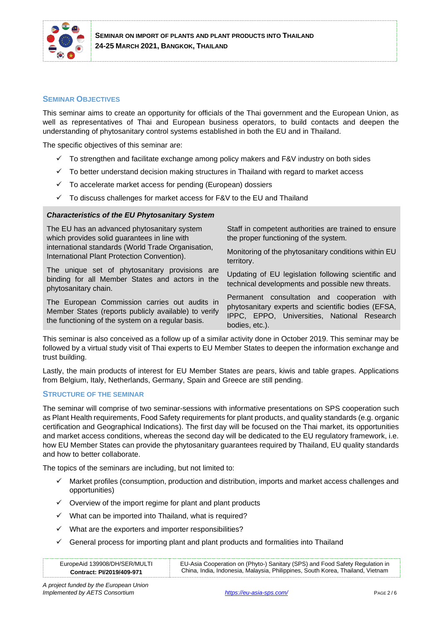

#### **SEMINAR OBJECTIVES**

This seminar aims to create an opportunity for officials of the Thai government and the European Union, as well as representatives of Thai and European business operators, to build contacts and deepen the understanding of phytosanitary control systems established in both the EU and in Thailand.

The specific objectives of this seminar are:

- $\checkmark$  To strengthen and facilitate exchange among policy makers and F&V industry on both sides
- ✓ To better understand decision making structures in Thailand with regard to market access
- $\checkmark$  To accelerate market access for pending (European) dossiers
- $\checkmark$  To discuss challenges for market access for F&V to the EU and Thailand

#### *Characteristics of the EU Phytosanitary System*

The EU has an advanced phytosanitary system which provides solid guarantees in line with international standards (World Trade Organisation, International Plant Protection Convention). The unique set of phytosanitary provisions are Staff in competent authorities are trained to ensure the proper functioning of the system. Monitoring of the phytosanitary conditions within EU territory.

binding for all Member States and actors in the phytosanitary chain.

The European Commission carries out audits in Member States (reports publicly available) to verify the functioning of the system on a regular basis.

Updating of EU legislation following scientific and

technical developments and possible new threats. Permanent consultation and cooperation with phytosanitary experts and scientific bodies (EFSA, IPPC, EPPO, Universities, National Research

This seminar is also conceived as a follow up of a similar activity done in October 2019. This seminar may be followed by a virtual study visit of Thai experts to EU Member States to deepen the information exchange and trust building.

bodies, etc.).

Lastly, the main products of interest for EU Member States are pears, kiwis and table grapes. Applications from Belgium, Italy, Netherlands, Germany, Spain and Greece are still pending.

#### **STRUCTURE OF THE SEMINAR**

The seminar will comprise of two seminar-sessions with informative presentations on SPS cooperation such as Plant Health requirements, Food Safety requirements for plant products, and quality standards (e.g. organic certification and Geographical Indications). The first day will be focused on the Thai market, its opportunities and market access conditions, whereas the second day will be dedicated to the EU regulatory framework, i.e. how EU Member States can provide the phytosanitary guarantees required by Thailand, EU quality standards and how to better collaborate.

The topics of the seminars are including, but not limited to:

- Market profiles (consumption, production and distribution, imports and market access challenges and opportunities)
- $\checkmark$  Overview of the import regime for plant and plant products
- ✓ What can be imported into Thailand, what is required?
- $\checkmark$  What are the exporters and importer responsibilities?
- $\checkmark$  General process for importing plant and plant products and formalities into Thailand

| EuropeAid 139908/DH/SER/MULTI | EU-Asia Cooperation on (Phyto-) Sanitary (SPS) and Food Safety Regulation in   |
|-------------------------------|--------------------------------------------------------------------------------|
| Contract: PI/2019/409-971     | China, India, Indonesia, Malaysia, Philippines, South Korea, Thailand, Vietnam |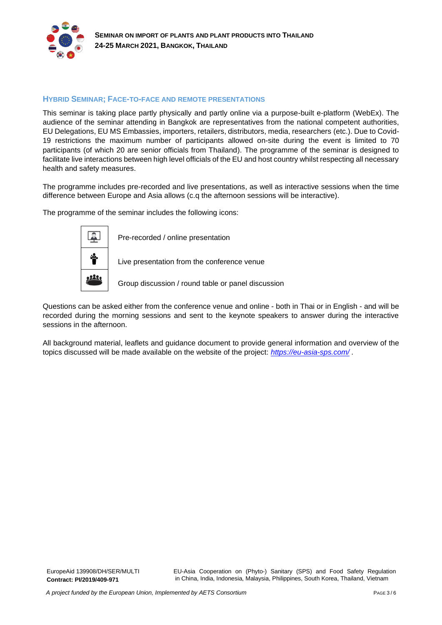

### **HYBRID SEMINAR; FACE-TO-FACE AND REMOTE PRESENTATIONS**

This seminar is taking place partly physically and partly online via a purpose-built e-platform (WebEx). The audience of the seminar attending in Bangkok are representatives from the national competent authorities, EU Delegations, EU MS Embassies, importers, retailers, distributors, media, researchers (etc.). Due to Covid-19 restrictions the maximum number of participants allowed on-site during the event is limited to 70 participants (of which 20 are senior officials from Thailand). The programme of the seminar is designed to facilitate live interactions between high level officials of the EU and host country whilst respecting all necessary health and safety measures.

The programme includes pre-recorded and live presentations, as well as interactive sessions when the time difference between Europe and Asia allows (c.q the afternoon sessions will be interactive).

The programme of the seminar includes the following icons:



Questions can be asked either from the conference venue and online - both in Thai or in English - and will be recorded during the morning sessions and sent to the keynote speakers to answer during the interactive sessions in the afternoon.

All background material, leaflets and guidance document to provide general information and overview of the topics discussed will be made available on the website of the project: *<https://eu-asia-sps.com/> .*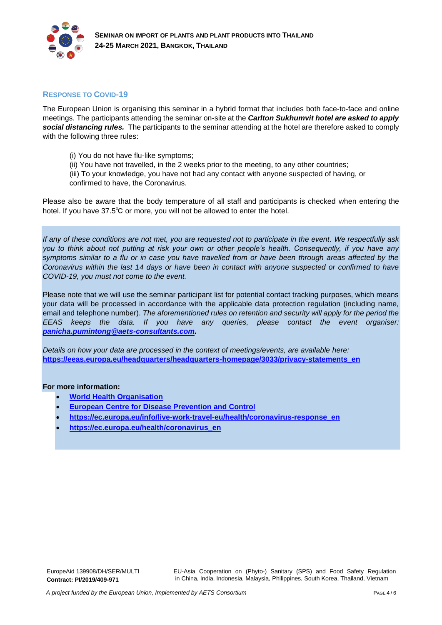

#### **RESPONSE TO COVID-19**

The European Union is organising this seminar in a hybrid format that includes both face-to-face and online meetings. The participants attending the seminar on-site at the *Carlton Sukhumvit hotel are asked to apply social distancing rules.* The participants to the seminar attending at the hotel are therefore asked to comply with the following three rules:

- (i) You do not have flu-like symptoms;
- (ii) You have not travelled, in the 2 weeks prior to the meeting, to any other countries;

(iii) To your knowledge, you have not had any contact with anyone suspected of having, or confirmed to have, the Coronavirus.

Please also be aware that the body temperature of all staff and participants is checked when entering the hotel. If you have 37.5℃ or more, you will not be allowed to enter the hotel.

*If any of these conditions are not met, you are requested not to participate in the event. We respectfully ask you to think about not putting at risk your own or other people's health. Consequently, if you have any symptoms similar to a flu or in case you have travelled from or have been through areas affected by the Coronavirus within the last 14 days or have been in contact with anyone suspected or confirmed to have COVID-19, you must not come to the event.* 

Please note that we will use the seminar participant list for potential contact tracking purposes, which means your data will be processed in accordance with the applicable data protection regulation (including name, email and telephone number). *The aforementioned rules on retention and security will apply for the period the EEAS keeps the data. If you have any queries, please contact the event organiser: [panicha.pumintong@aets-consultants.com.](mailto:panicha.pumintong@aets-consultants.com)* 

*Details on how your data are processed in the context of meetings/events, are available here:* **[https://eeas.europa.eu/headquarters/headquarters-homepage/3033/privacy-statements\\_en](https://eeas.europa.eu/headquarters/headquarters-homepage/3033/privacy-statements_en)**

#### **For more information:**

- **[World Health Organisation](https://www.who.int/health-topics/coronavirus)**
- **[European Centre for Disease Prevention and Control](https://www.ecdc.europa.eu/en/current-risk-assessment-novel-coronavirus-situation)**
- **[https://ec.europa.eu/info/live-work-travel-eu/health/coronavirus-response\\_en](https://ec.europa.eu/info/live-work-travel-eu/health/coronavirus-response_en)**
- **[https://ec.europa.eu/health/coronavirus\\_en](https://ec.europa.eu/health/coronavirus_en)**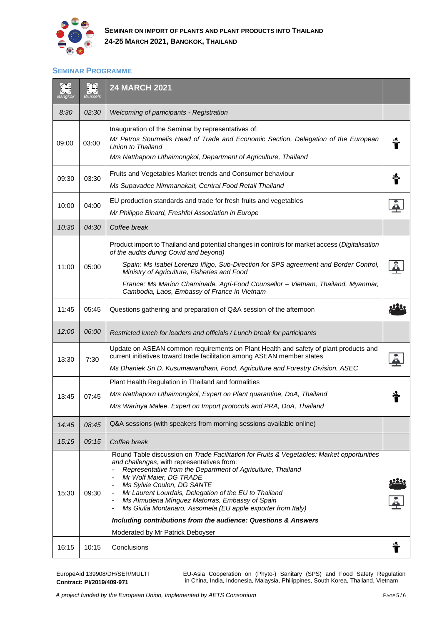

# **SEMINAR PROGRAMME**

| $\epsilon$ $\Gamma$<br>Bangkok | $\langle \mathcal{L} \rangle$<br><b>Brussels</b> | <b>24 MARCH 2021</b>                                                                                                                                                                                                                                                                                                                                                                                                                                                                                                            |  |
|--------------------------------|--------------------------------------------------|---------------------------------------------------------------------------------------------------------------------------------------------------------------------------------------------------------------------------------------------------------------------------------------------------------------------------------------------------------------------------------------------------------------------------------------------------------------------------------------------------------------------------------|--|
| 8:30                           | 02:30                                            | Welcoming of participants - Registration                                                                                                                                                                                                                                                                                                                                                                                                                                                                                        |  |
| 09:00                          | 03:00                                            | Inauguration of the Seminar by representatives of:<br>Mr Petros Sourmelis Head of Trade and Economic Section, Delegation of the European<br>Union to Thailand<br>Mrs Natthaporn Uthaimongkol, Department of Agriculture, Thailand                                                                                                                                                                                                                                                                                               |  |
| 09:30                          | 03:30                                            | Fruits and Vegetables Market trends and Consumer behaviour<br>Ms Supavadee Nimmanakait, Central Food Retail Thailand                                                                                                                                                                                                                                                                                                                                                                                                            |  |
| 10:00                          | 04:00                                            | EU production standards and trade for fresh fruits and vegetables<br>Mr Philippe Binard, Freshfel Association in Europe                                                                                                                                                                                                                                                                                                                                                                                                         |  |
| 10:30                          | 04:30                                            | Coffee break                                                                                                                                                                                                                                                                                                                                                                                                                                                                                                                    |  |
| 11:00                          | 05:00                                            | Product import to Thailand and potential changes in controls for market access (Digitalisation<br>of the audits during Covid and beyond)<br>Spain: Ms Isabel Lorenzo Iñigo, Sub-Direction for SPS agreement and Border Control,                                                                                                                                                                                                                                                                                                 |  |
|                                |                                                  | Ministry of Agriculture, Fisheries and Food<br>France: Ms Marion Chaminade, Agri-Food Counsellor - Vietnam, Thailand, Myanmar,<br>Cambodia, Laos, Embassy of France in Vietnam                                                                                                                                                                                                                                                                                                                                                  |  |
| 11:45                          | 05:45                                            | Questions gathering and preparation of Q&A session of the afternoon                                                                                                                                                                                                                                                                                                                                                                                                                                                             |  |
| 12:00                          | 06:00                                            | Restricted lunch for leaders and officials / Lunch break for participants                                                                                                                                                                                                                                                                                                                                                                                                                                                       |  |
| 13:30                          | 7:30                                             | Update on ASEAN common requirements on Plant Health and safety of plant products and<br>current initiatives toward trade facilitation among ASEAN member states<br>Ms Dhaniek Sri D. Kusumawardhani, Food, Agriculture and Forestry Division, ASEC                                                                                                                                                                                                                                                                              |  |
|                                |                                                  | Plant Health Regulation in Thailand and formalities                                                                                                                                                                                                                                                                                                                                                                                                                                                                             |  |
| 13:45                          | 07:45                                            | Mrs Natthaporn Uthaimongkol, Expert on Plant quarantine, DoA, Thailand                                                                                                                                                                                                                                                                                                                                                                                                                                                          |  |
|                                |                                                  | Mrs Warinya Malee, Expert on Import protocols and PRA, DoA, Thailand                                                                                                                                                                                                                                                                                                                                                                                                                                                            |  |
| 14:45                          | 08:45                                            | Q&A sessions (with speakers from morning sessions available online)                                                                                                                                                                                                                                                                                                                                                                                                                                                             |  |
| 15:15                          | 09:15                                            | Coffee break                                                                                                                                                                                                                                                                                                                                                                                                                                                                                                                    |  |
| 15:30                          | 09:30                                            | Round Table discussion on Trade Facilitation for Fruits & Vegetables: Market opportunities<br>and challenges, with representatives from:<br>Representative from the Department of Agriculture, Thailand<br>Mr Wolf Maier, DG TRADE<br>Ms Sylvie Coulon, DG SANTE<br>Mr Laurent Lourdais, Delegation of the EU to Thailand<br>Ms Almudena Mínguez Matorras, Embassy of Spain<br>Ms Giulia Montanaro, Assomela (EU apple exporter from Italy)<br>$\blacksquare$<br>Including contributions from the audience: Questions & Answers |  |
|                                |                                                  | Moderated by Mr Patrick Deboyser                                                                                                                                                                                                                                                                                                                                                                                                                                                                                                |  |
| 16:15                          | 10:15                                            | Conclusions                                                                                                                                                                                                                                                                                                                                                                                                                                                                                                                     |  |

EuropeAid 139908/DH/SER/MULTI **Contract: PI/2019/409-971**